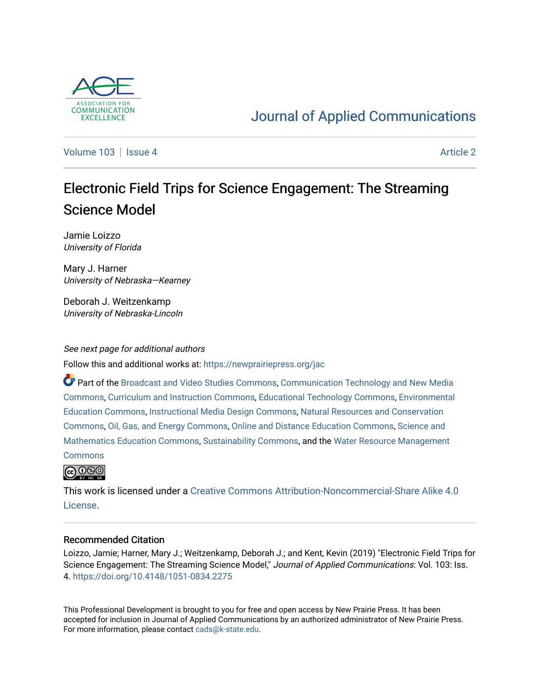

# [Journal of Applied Communications](https://newprairiepress.org/jac)

[Volume 103](https://newprairiepress.org/jac/vol103) | [Issue 4](https://newprairiepress.org/jac/vol103/iss4) Article 2

# Electronic Field Trips for Science Engagement: The Streaming Science Model

Jamie Loizzo University of Florida

Mary J. Harner University of Nebraska—Kearney

Deborah J. Weitzenkamp University of Nebraska-Lincoln

See next page for additional authors Follow this and additional works at: [https://newprairiepress.org/jac](https://newprairiepress.org/jac?utm_source=newprairiepress.org%2Fjac%2Fvol103%2Fiss4%2F2&utm_medium=PDF&utm_campaign=PDFCoverPages)

Part of the [Broadcast and Video Studies Commons,](http://network.bepress.com/hgg/discipline/326?utm_source=newprairiepress.org%2Fjac%2Fvol103%2Fiss4%2F2&utm_medium=PDF&utm_campaign=PDFCoverPages) [Communication Technology and New Media](http://network.bepress.com/hgg/discipline/327?utm_source=newprairiepress.org%2Fjac%2Fvol103%2Fiss4%2F2&utm_medium=PDF&utm_campaign=PDFCoverPages) [Commons](http://network.bepress.com/hgg/discipline/327?utm_source=newprairiepress.org%2Fjac%2Fvol103%2Fiss4%2F2&utm_medium=PDF&utm_campaign=PDFCoverPages), [Curriculum and Instruction Commons](http://network.bepress.com/hgg/discipline/786?utm_source=newprairiepress.org%2Fjac%2Fvol103%2Fiss4%2F2&utm_medium=PDF&utm_campaign=PDFCoverPages), [Educational Technology Commons,](http://network.bepress.com/hgg/discipline/1415?utm_source=newprairiepress.org%2Fjac%2Fvol103%2Fiss4%2F2&utm_medium=PDF&utm_campaign=PDFCoverPages) [Environmental](http://network.bepress.com/hgg/discipline/1305?utm_source=newprairiepress.org%2Fjac%2Fvol103%2Fiss4%2F2&utm_medium=PDF&utm_campaign=PDFCoverPages) [Education Commons,](http://network.bepress.com/hgg/discipline/1305?utm_source=newprairiepress.org%2Fjac%2Fvol103%2Fiss4%2F2&utm_medium=PDF&utm_campaign=PDFCoverPages) [Instructional Media Design Commons,](http://network.bepress.com/hgg/discipline/795?utm_source=newprairiepress.org%2Fjac%2Fvol103%2Fiss4%2F2&utm_medium=PDF&utm_campaign=PDFCoverPages) [Natural Resources and Conservation](http://network.bepress.com/hgg/discipline/168?utm_source=newprairiepress.org%2Fjac%2Fvol103%2Fiss4%2F2&utm_medium=PDF&utm_campaign=PDFCoverPages)  [Commons](http://network.bepress.com/hgg/discipline/168?utm_source=newprairiepress.org%2Fjac%2Fvol103%2Fiss4%2F2&utm_medium=PDF&utm_campaign=PDFCoverPages), [Oil, Gas, and Energy Commons](http://network.bepress.com/hgg/discipline/171?utm_source=newprairiepress.org%2Fjac%2Fvol103%2Fiss4%2F2&utm_medium=PDF&utm_campaign=PDFCoverPages), [Online and Distance Education Commons,](http://network.bepress.com/hgg/discipline/1296?utm_source=newprairiepress.org%2Fjac%2Fvol103%2Fiss4%2F2&utm_medium=PDF&utm_campaign=PDFCoverPages) [Science and](http://network.bepress.com/hgg/discipline/800?utm_source=newprairiepress.org%2Fjac%2Fvol103%2Fiss4%2F2&utm_medium=PDF&utm_campaign=PDFCoverPages) [Mathematics Education Commons,](http://network.bepress.com/hgg/discipline/800?utm_source=newprairiepress.org%2Fjac%2Fvol103%2Fiss4%2F2&utm_medium=PDF&utm_campaign=PDFCoverPages) [Sustainability Commons,](http://network.bepress.com/hgg/discipline/1031?utm_source=newprairiepress.org%2Fjac%2Fvol103%2Fiss4%2F2&utm_medium=PDF&utm_campaign=PDFCoverPages) and the [Water Resource Management](http://network.bepress.com/hgg/discipline/1057?utm_source=newprairiepress.org%2Fjac%2Fvol103%2Fiss4%2F2&utm_medium=PDF&utm_campaign=PDFCoverPages) **[Commons](http://network.bepress.com/hgg/discipline/1057?utm_source=newprairiepress.org%2Fjac%2Fvol103%2Fiss4%2F2&utm_medium=PDF&utm_campaign=PDFCoverPages)** 



This work is licensed under a [Creative Commons Attribution-Noncommercial-Share Alike 4.0](https://creativecommons.org/licenses/by-nc-sa/4.0/) [License.](https://creativecommons.org/licenses/by-nc-sa/4.0/)

#### Recommended Citation

Loizzo, Jamie; Harner, Mary J.; Weitzenkamp, Deborah J.; and Kent, Kevin (2019) "Electronic Field Trips for Science Engagement: The Streaming Science Model," Journal of Applied Communications: Vol. 103: Iss. 4. <https://doi.org/10.4148/1051-0834.2275>

This Professional Development is brought to you for free and open access by New Prairie Press. It has been accepted for inclusion in Journal of Applied Communications by an authorized administrator of New Prairie Press. For more information, please contact [cads@k-state.edu.](mailto:cads@k-state.edu)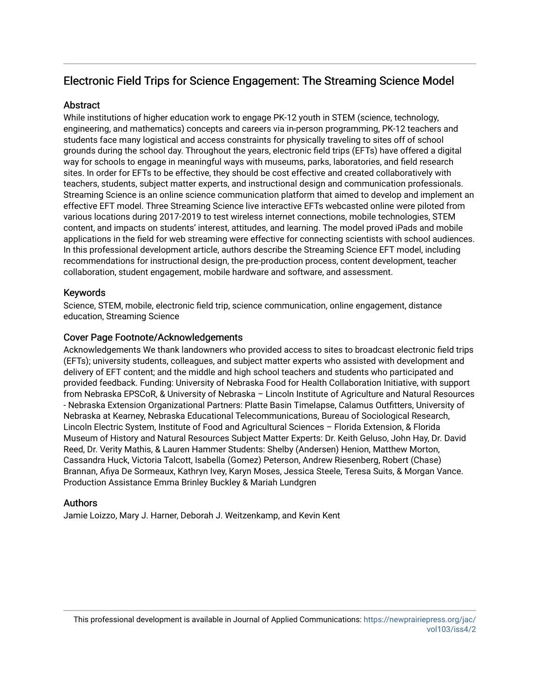# Electronic Field Trips for Science Engagement: The Streaming Science Model

### **Abstract**

While institutions of higher education work to engage PK-12 youth in STEM (science, technology, engineering, and mathematics) concepts and careers via in-person programming, PK-12 teachers and students face many logistical and access constraints for physically traveling to sites off of school grounds during the school day. Throughout the years, electronic field trips (EFTs) have offered a digital way for schools to engage in meaningful ways with museums, parks, laboratories, and field research sites. In order for EFTs to be effective, they should be cost effective and created collaboratively with teachers, students, subject matter experts, and instructional design and communication professionals. Streaming Science is an online science communication platform that aimed to develop and implement an effective EFT model. Three Streaming Science live interactive EFTs webcasted online were piloted from various locations during 2017-2019 to test wireless internet connections, mobile technologies, STEM content, and impacts on students' interest, attitudes, and learning. The model proved iPads and mobile applications in the field for web streaming were effective for connecting scientists with school audiences. In this professional development article, authors describe the Streaming Science EFT model, including recommendations for instructional design, the pre-production process, content development, teacher collaboration, student engagement, mobile hardware and software, and assessment.

### Keywords

Science, STEM, mobile, electronic field trip, science communication, online engagement, distance education, Streaming Science

#### Cover Page Footnote/Acknowledgements

Acknowledgements We thank landowners who provided access to sites to broadcast electronic field trips (EFTs); university students, colleagues, and subject matter experts who assisted with development and delivery of EFT content; and the middle and high school teachers and students who participated and provided feedback. Funding: University of Nebraska Food for Health Collaboration Initiative, with support from Nebraska EPSCoR, & University of Nebraska – Lincoln Institute of Agriculture and Natural Resources - Nebraska Extension Organizational Partners: Platte Basin Timelapse, Calamus Outfitters, University of Nebraska at Kearney, Nebraska Educational Telecommunications, Bureau of Sociological Research, Lincoln Electric System, Institute of Food and Agricultural Sciences – Florida Extension, & Florida Museum of History and Natural Resources Subject Matter Experts: Dr. Keith Geluso, John Hay, Dr. David Reed, Dr. Verity Mathis, & Lauren Hammer Students: Shelby (Andersen) Henion, Matthew Morton, Cassandra Huck, Victoria Talcott, Isabella (Gomez) Peterson, Andrew Riesenberg, Robert (Chase) Brannan, Afiya De Sormeaux, Kathryn Ivey, Karyn Moses, Jessica Steele, Teresa Suits, & Morgan Vance. Production Assistance Emma Brinley Buckley & Mariah Lundgren

#### Authors

Jamie Loizzo, Mary J. Harner, Deborah J. Weitzenkamp, and Kevin Kent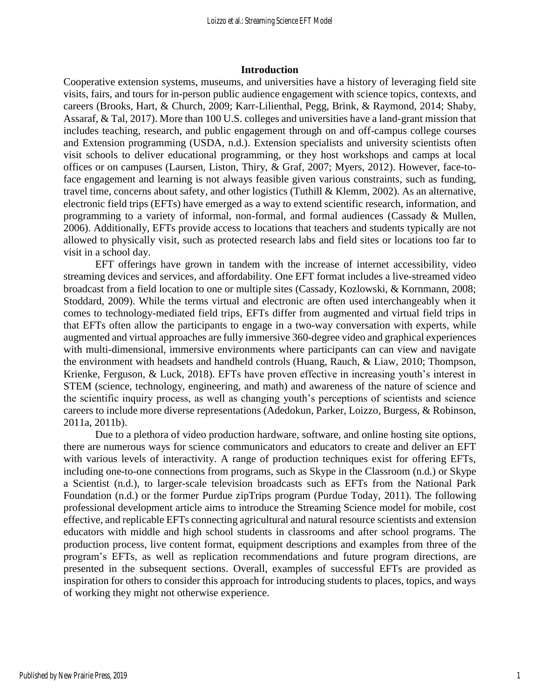#### **Introduction**

Cooperative extension systems, museums, and universities have a history of leveraging field site visits, fairs, and tours for in-person public audience engagement with science topics, contexts, and careers (Brooks, Hart, & Church, 2009; Karr-Lilienthal, Pegg, Brink, & Raymond, 2014; Shaby, Assaraf, & Tal, 2017). More than 100 U.S. colleges and universities have a land-grant mission that includes teaching, research, and public engagement through on and off-campus college courses and Extension programming (USDA, n.d.). Extension specialists and university scientists often visit schools to deliver educational programming, or they host workshops and camps at local offices or on campuses (Laursen, Liston, Thiry, & Graf, 2007; Myers, 2012). However, face-toface engagement and learning is not always feasible given various constraints, such as funding, travel time, concerns about safety, and other logistics (Tuthill & Klemm, 2002). As an alternative, electronic field trips (EFTs) have emerged as a way to extend scientific research, information, and programming to a variety of informal, non-formal, and formal audiences (Cassady & Mullen, 2006). Additionally, EFTs provide access to locations that teachers and students typically are not allowed to physically visit, such as protected research labs and field sites or locations too far to visit in a school day.

EFT offerings have grown in tandem with the increase of internet accessibility, video streaming devices and services, and affordability. One EFT format includes a live-streamed video broadcast from a field location to one or multiple sites (Cassady, Kozlowski, & Kornmann, 2008; Stoddard, 2009). While the terms virtual and electronic are often used interchangeably when it comes to technology-mediated field trips, EFTs differ from augmented and virtual field trips in that EFTs often allow the participants to engage in a two-way conversation with experts, while augmented and virtual approaches are fully immersive 360-degree video and graphical experiences with multi-dimensional, immersive environments where participants can can view and navigate the environment with headsets and handheld controls (Huang, Rauch, & Liaw, 2010; Thompson, Krienke, Ferguson, & Luck, 2018). EFTs have proven effective in increasing youth's interest in STEM (science, technology, engineering, and math) and awareness of the nature of science and the scientific inquiry process, as well as changing youth's perceptions of scientists and science careers to include more diverse representations (Adedokun, Parker, Loizzo, Burgess, & Robinson, 2011a, 2011b).

Due to a plethora of video production hardware, software, and online hosting site options, there are numerous ways for science communicators and educators to create and deliver an EFT with various levels of interactivity. A range of production techniques exist for offering EFTs, including one-to-one connections from programs, such as Skype in the Classroom (n.d.) or Skype a Scientist (n.d.), to larger-scale television broadcasts such as EFTs from the National Park Foundation (n.d.) or the former Purdue zipTrips program (Purdue Today, 2011). The following professional development article aims to introduce the Streaming Science model for mobile, cost effective, and replicable EFTs connecting agricultural and natural resource scientists and extension educators with middle and high school students in classrooms and after school programs. The production process, live content format, equipment descriptions and examples from three of the program's EFTs, as well as replication recommendations and future program directions, are presented in the subsequent sections. Overall, examples of successful EFTs are provided as inspiration for others to consider this approach for introducing students to places, topics, and ways of working they might not otherwise experience.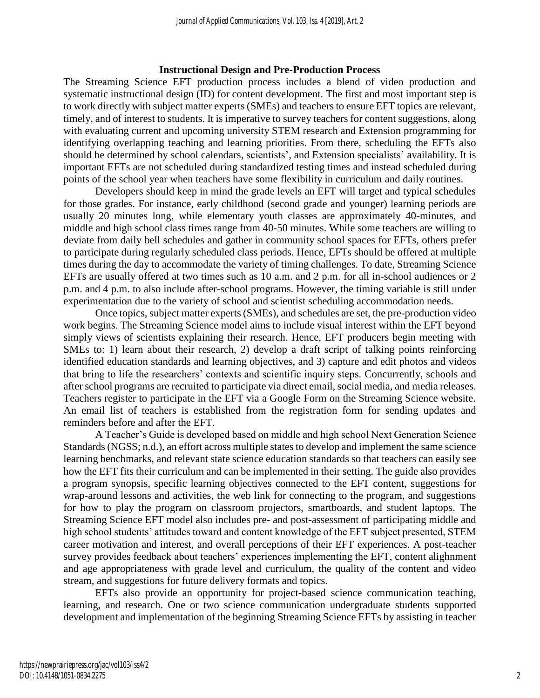#### **Instructional Design and Pre-Production Process**

The Streaming Science EFT production process includes a blend of video production and systematic instructional design (ID) for content development. The first and most important step is to work directly with subject matter experts (SMEs) and teachers to ensure EFT topics are relevant, timely, and of interest to students. It is imperative to survey teachers for content suggestions, along with evaluating current and upcoming university STEM research and Extension programming for identifying overlapping teaching and learning priorities. From there, scheduling the EFTs also should be determined by school calendars, scientists', and Extension specialists' availability. It is important EFTs are not scheduled during standardized testing times and instead scheduled during points of the school year when teachers have some flexibility in curriculum and daily routines.

Developers should keep in mind the grade levels an EFT will target and typical schedules for those grades. For instance, early childhood (second grade and younger) learning periods are usually 20 minutes long, while elementary youth classes are approximately 40-minutes, and middle and high school class times range from 40-50 minutes. While some teachers are willing to deviate from daily bell schedules and gather in community school spaces for EFTs, others prefer to participate during regularly scheduled class periods. Hence, EFTs should be offered at multiple times during the day to accommodate the variety of timing challenges. To date, Streaming Science EFTs are usually offered at two times such as 10 a.m. and 2 p.m. for all in-school audiences or 2 p.m. and 4 p.m. to also include after-school programs. However, the timing variable is still under experimentation due to the variety of school and scientist scheduling accommodation needs.

Once topics, subject matter experts (SMEs), and schedules are set, the pre-production video work begins. The Streaming Science model aims to include visual interest within the EFT beyond simply views of scientists explaining their research. Hence, EFT producers begin meeting with SMEs to: 1) learn about their research, 2) develop a draft script of talking points reinforcing identified education standards and learning objectives, and 3) capture and edit photos and videos that bring to life the researchers' contexts and scientific inquiry steps. Concurrently, schools and after school programs are recruited to participate via direct email, social media, and media releases. Teachers register to participate in the EFT via a Google Form on the Streaming Science website. An email list of teachers is established from the registration form for sending updates and reminders before and after the EFT.

A Teacher's Guide is developed based on middle and high school Next Generation Science Standards (NGSS; n.d.), an effort across multiple states to develop and implement the same science learning benchmarks, and relevant state science education standards so that teachers can easily see how the EFT fits their curriculum and can be implemented in their setting. The guide also provides a program synopsis, specific learning objectives connected to the EFT content, suggestions for wrap-around lessons and activities, the web link for connecting to the program, and suggestions for how to play the program on classroom projectors, smartboards, and student laptops. The Streaming Science EFT model also includes pre- and post-assessment of participating middle and high school students' attitudes toward and content knowledge of the EFT subject presented, STEM career motivation and interest, and overall perceptions of their EFT experiences. A post-teacher survey provides feedback about teachers' experiences implementing the EFT, content alighnment and age appropriateness with grade level and curriculum, the quality of the content and video stream, and suggestions for future delivery formats and topics.

EFTs also provide an opportunity for project-based science communication teaching, learning, and research. One or two science communication undergraduate students supported development and implementation of the beginning Streaming Science EFTs by assisting in teacher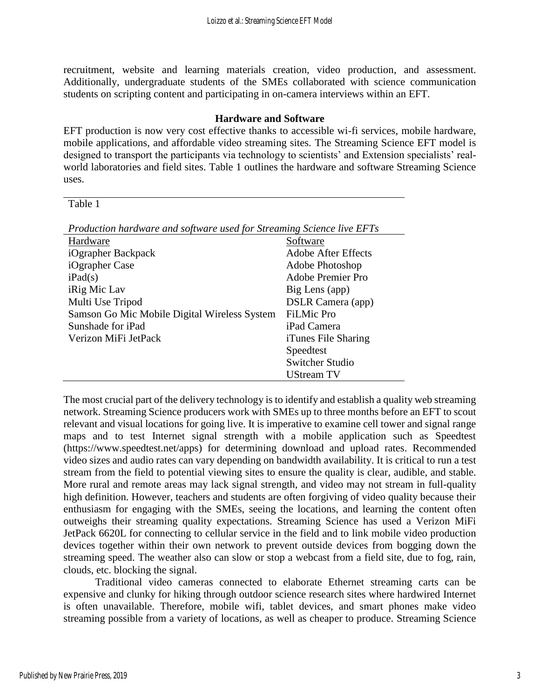recruitment, website and learning materials creation, video production, and assessment. Additionally, undergraduate students of the SMEs collaborated with science communication students on scripting content and participating in on-camera interviews within an EFT.

#### **Hardware and Software**

EFT production is now very cost effective thanks to accessible wi-fi services, mobile hardware, mobile applications, and affordable video streaming sites. The Streaming Science EFT model is designed to transport the participants via technology to scientists' and Extension specialists' realworld laboratories and field sites. Table 1 outlines the hardware and software Streaming Science uses.

Table 1

| Production hardware and software used for Streaming Science live EFTs |                            |
|-----------------------------------------------------------------------|----------------------------|
| Hardware                                                              | Software                   |
| iOgrapher Backpack                                                    | <b>Adobe After Effects</b> |
| iOgrapher Case                                                        | Adobe Photoshop            |
| iPad(s)                                                               | <b>Adobe Premier Pro</b>   |
| <i>iRig Mic Lav</i>                                                   | Big Lens (app)             |
| Multi Use Tripod                                                      | <b>DSLR Camera (app)</b>   |
| Samson Go Mic Mobile Digital Wireless System                          | <b>FiLMic Pro</b>          |
| Sunshade for iPad                                                     | iPad Camera                |
| Verizon MiFi JetPack                                                  | iTunes File Sharing        |
|                                                                       | Speedtest                  |
|                                                                       | <b>Switcher Studio</b>     |
|                                                                       | $TTC$ $TNT$                |

UStream TV The most crucial part of the delivery technology is to identify and establish a quality web streaming network. Streaming Science producers work with SMEs up to three months before an EFT to scout relevant and visual locations for going live. It is imperative to examine cell tower and signal range maps and to test Internet signal strength with a mobile application such as Speedtest (https://www.speedtest.net/apps) for determining download and upload rates. Recommended video sizes and audio rates can vary depending on bandwidth availability. It is critical to run a test stream from the field to potential viewing sites to ensure the quality is clear, audible, and stable. More rural and remote areas may lack signal strength, and video may not stream in full-quality high definition. However, teachers and students are often forgiving of video quality because their enthusiasm for engaging with the SMEs, seeing the locations, and learning the content often outweighs their streaming quality expectations. Streaming Science has used a Verizon MiFi JetPack 6620L for connecting to cellular service in the field and to link mobile video production devices together within their own network to prevent outside devices from bogging down the streaming speed. The weather also can slow or stop a webcast from a field site, due to fog, rain, clouds, etc. blocking the signal.

Traditional video cameras connected to elaborate Ethernet streaming carts can be expensive and clunky for hiking through outdoor science research sites where hardwired Internet is often unavailable. Therefore, mobile wifi, tablet devices, and smart phones make video streaming possible from a variety of locations, as well as cheaper to produce. Streaming Science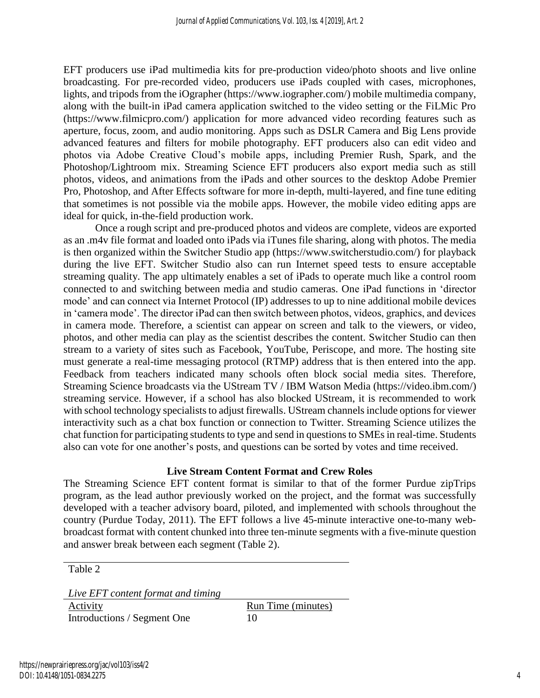EFT producers use iPad multimedia kits for pre-production video/photo shoots and live online broadcasting. For pre-recorded video, producers use iPads coupled with cases, microphones, lights, and tripods from the iOgrapher (https://www.iographer.com/) mobile multimedia company, along with the built-in iPad camera application switched to the video setting or the FiLMic Pro (https://www.filmicpro.com/) application for more advanced video recording features such as aperture, focus, zoom, and audio monitoring. Apps such as DSLR Camera and Big Lens provide advanced features and filters for mobile photography. EFT producers also can edit video and photos via Adobe Creative Cloud's mobile apps, including Premier Rush, Spark, and the Photoshop/Lightroom mix. Streaming Science EFT producers also export media such as still photos, videos, and animations from the iPads and other sources to the desktop Adobe Premier Pro, Photoshop, and After Effects software for more in-depth, multi-layered, and fine tune editing that sometimes is not possible via the mobile apps. However, the mobile video editing apps are ideal for quick, in-the-field production work.

Once a rough script and pre-produced photos and videos are complete, videos are exported as an .m4v file format and loaded onto iPads via iTunes file sharing, along with photos. The media is then organized within the Switcher Studio app (https://www.switcherstudio.com/) for playback during the live EFT. Switcher Studio also can run Internet speed tests to ensure acceptable streaming quality. The app ultimately enables a set of iPads to operate much like a control room connected to and switching between media and studio cameras. One iPad functions in 'director mode' and can connect via Internet Protocol (IP) addresses to up to nine additional mobile devices in 'camera mode'. The director iPad can then switch between photos, videos, graphics, and devices in camera mode. Therefore, a scientist can appear on screen and talk to the viewers, or video, photos, and other media can play as the scientist describes the content. Switcher Studio can then stream to a variety of sites such as Facebook, YouTube, Periscope, and more. The hosting site must generate a real-time messaging protocol (RTMP) address that is then entered into the app. Feedback from teachers indicated many schools often block social media sites. Therefore, Streaming Science broadcasts via the UStream TV / IBM Watson Media (https://video.ibm.com/) streaming service. However, if a school has also blocked UStream, it is recommended to work with school technology specialists to adjust firewalls. UStream channels include options for viewer interactivity such as a chat box function or connection to Twitter. Streaming Science utilizes the chat function for participating students to type and send in questions to SMEs in real-time. Students also can vote for one another's posts, and questions can be sorted by votes and time received.

# **Live Stream Content Format and Crew Roles**

The Streaming Science EFT content format is similar to that of the former Purdue zipTrips program, as the lead author previously worked on the project, and the format was successfully developed with a teacher advisory board, piloted, and implemented with schools throughout the country (Purdue Today, 2011). The EFT follows a live 45-minute interactive one-to-many webbroadcast format with content chunked into three ten-minute segments with a five-minute question and answer break between each segment (Table 2).

Table 2

*Live EFT content format and timing*

Activity Run Time (minutes) Introductions / Segment One 10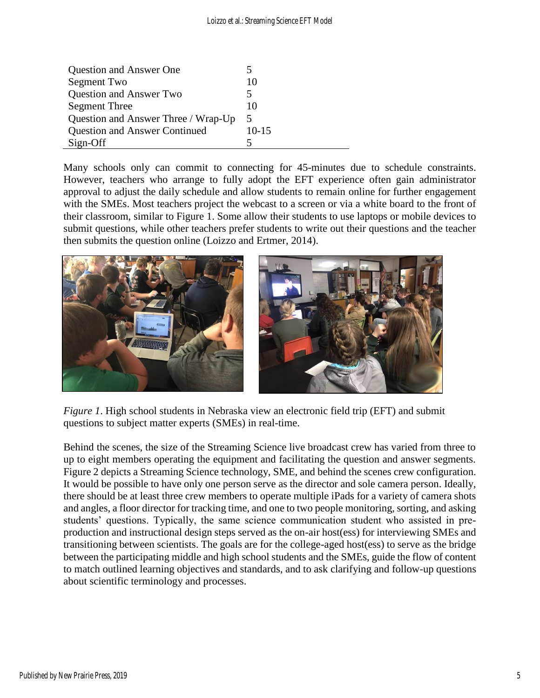| <b>Question and Answer One</b>       |       |
|--------------------------------------|-------|
| Segment Two                          | 10    |
| <b>Question and Answer Two</b>       |       |
| <b>Segment Three</b>                 | 10    |
| Question and Answer Three / Wrap-Up  | 5     |
| <b>Question and Answer Continued</b> | 10-15 |
| Sign-Off                             |       |

Many schools only can commit to connecting for 45-minutes due to schedule constraints. However, teachers who arrange to fully adopt the EFT experience often gain administrator approval to adjust the daily schedule and allow students to remain online for further engagement with the SMEs. Most teachers project the webcast to a screen or via a white board to the front of their classroom, similar to Figure 1. Some allow their students to use laptops or mobile devices to submit questions, while other teachers prefer students to write out their questions and the teacher then submits the question online (Loizzo and Ertmer, 2014).



*Figure 1*. High school students in Nebraska view an electronic field trip (EFT) and submit questions to subject matter experts (SMEs) in real-time.

Behind the scenes, the size of the Streaming Science live broadcast crew has varied from three to up to eight members operating the equipment and facilitating the question and answer segments. Figure 2 depicts a Streaming Science technology, SME, and behind the scenes crew configuration. It would be possible to have only one person serve as the director and sole camera person. Ideally, there should be at least three crew members to operate multiple iPads for a variety of camera shots and angles, a floor director for tracking time, and one to two people monitoring, sorting, and asking students' questions. Typically, the same science communication student who assisted in preproduction and instructional design steps served as the on-air host(ess) for interviewing SMEs and transitioning between scientists. The goals are for the college-aged host(ess) to serve as the bridge between the participating middle and high school students and the SMEs, guide the flow of content to match outlined learning objectives and standards, and to ask clarifying and follow-up questions about scientific terminology and processes.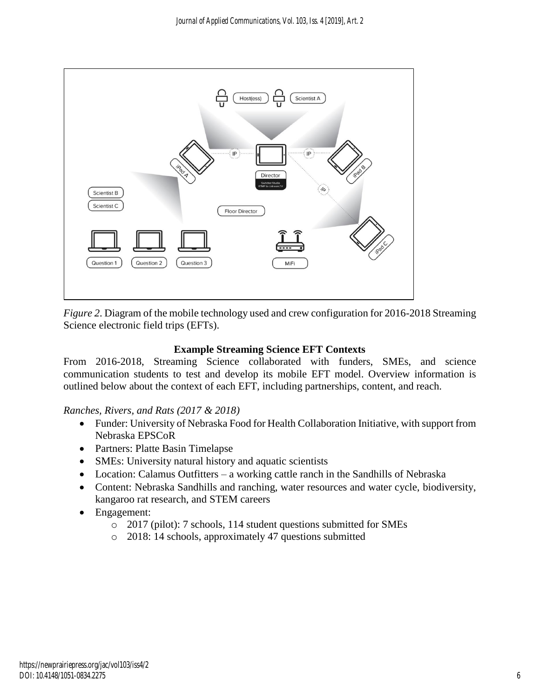

*Figure 2*. Diagram of the mobile technology used and crew configuration for 2016-2018 Streaming Science electronic field trips (EFTs).

# **Example Streaming Science EFT Contexts**

From 2016-2018, Streaming Science collaborated with funders, SMEs, and science communication students to test and develop its mobile EFT model. Overview information is outlined below about the context of each EFT, including partnerships, content, and reach.

#### *Ranches, Rivers, and Rats (2017 & 2018)*

- Funder: University of Nebraska Food for Health Collaboration Initiative, with support from Nebraska EPSCoR
- Partners: Platte Basin Timelapse
- SMEs: University natural history and aquatic scientists
- Location: Calamus Outfitters a working cattle ranch in the Sandhills of Nebraska
- Content: Nebraska Sandhills and ranching, water resources and water cycle, biodiversity, kangaroo rat research, and STEM careers
- Engagement:
	- o 2017 (pilot): 7 schools, 114 student questions submitted for SMEs
	- o 2018: 14 schools, approximately 47 questions submitted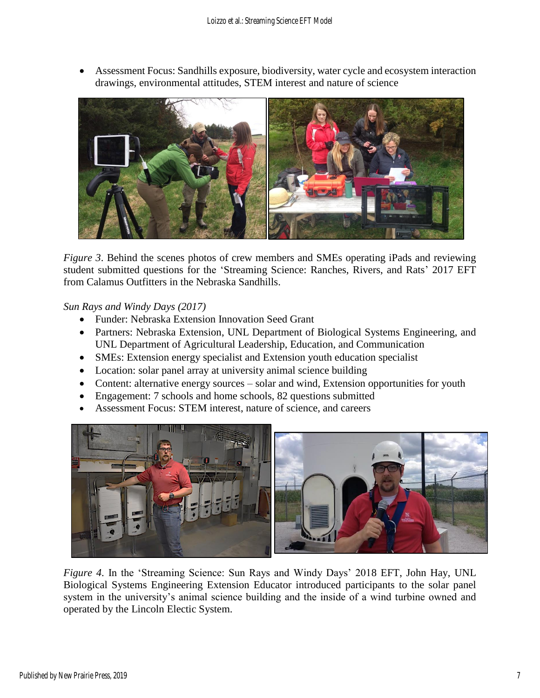• Assessment Focus: Sandhills exposure, biodiversity, water cycle and ecosystem interaction drawings, environmental attitudes, STEM interest and nature of science



*Figure 3.* Behind the scenes photos of crew members and SMEs operating iPads and reviewing student submitted questions for the 'Streaming Science: Ranches, Rivers, and Rats' 2017 EFT from Calamus Outfitters in the Nebraska Sandhills.

*Sun Rays and Windy Days (2017)*

- Funder: Nebraska Extension Innovation Seed Grant
- Partners: Nebraska Extension, UNL Department of Biological Systems Engineering, and UNL Department of Agricultural Leadership, Education, and Communication
- SMEs: Extension energy specialist and Extension youth education specialist
- Location: solar panel array at university animal science building
- Content: alternative energy sources solar and wind, Extension opportunities for youth
- Engagement: 7 schools and home schools, 82 questions submitted
- Assessment Focus: STEM interest, nature of science, and careers



*Figure 4.* In the 'Streaming Science: Sun Rays and Windy Days' 2018 EFT, John Hay, UNL Biological Systems Engineering Extension Educator introduced participants to the solar panel system in the university's animal science building and the inside of a wind turbine owned and operated by the Lincoln Electic System.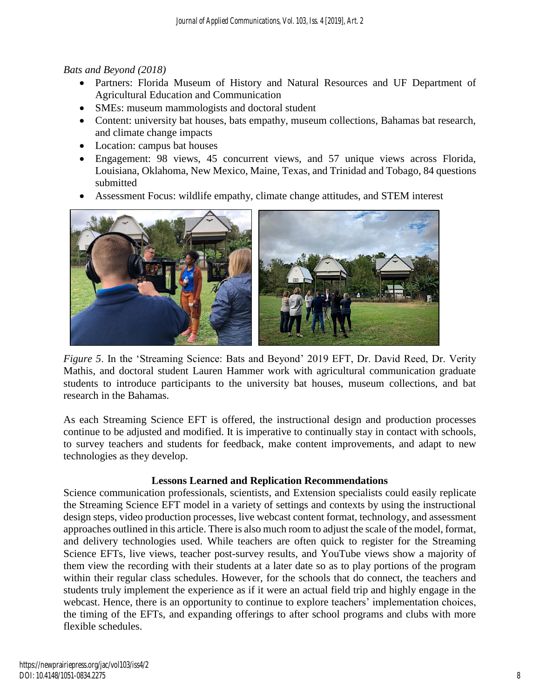# *Bats and Beyond (2018)*

- Partners: Florida Museum of History and Natural Resources and UF Department of Agricultural Education and Communication
- SMEs: museum mammologists and doctoral student
- Content: university bat houses, bats empathy, museum collections, Bahamas bat research, and climate change impacts
- Location: campus bat houses
- Engagement: 98 views, 45 concurrent views, and 57 unique views across Florida, Louisiana, Oklahoma, New Mexico, Maine, Texas, and Trinidad and Tobago, 84 questions submitted
- Assessment Focus: wildlife empathy, climate change attitudes, and STEM interest



*Figure 5*. In the 'Streaming Science: Bats and Beyond' 2019 EFT, Dr. David Reed, Dr. Verity Mathis, and doctoral student Lauren Hammer work with agricultural communication graduate students to introduce participants to the university bat houses, museum collections, and bat research in the Bahamas.

As each Streaming Science EFT is offered, the instructional design and production processes continue to be adjusted and modified. It is imperative to continually stay in contact with schools, to survey teachers and students for feedback, make content improvements, and adapt to new technologies as they develop.

# **Lessons Learned and Replication Recommendations**

Science communication professionals, scientists, and Extension specialists could easily replicate the Streaming Science EFT model in a variety of settings and contexts by using the instructional design steps, video production processes, live webcast content format, technology, and assessment approaches outlined in this article. There is also much room to adjust the scale of the model, format, and delivery technologies used. While teachers are often quick to register for the Streaming Science EFTs, live views, teacher post-survey results, and YouTube views show a majority of them view the recording with their students at a later date so as to play portions of the program within their regular class schedules. However, for the schools that do connect, the teachers and students truly implement the experience as if it were an actual field trip and highly engage in the webcast. Hence, there is an opportunity to continue to explore teachers' implementation choices, the timing of the EFTs, and expanding offerings to after school programs and clubs with more flexible schedules.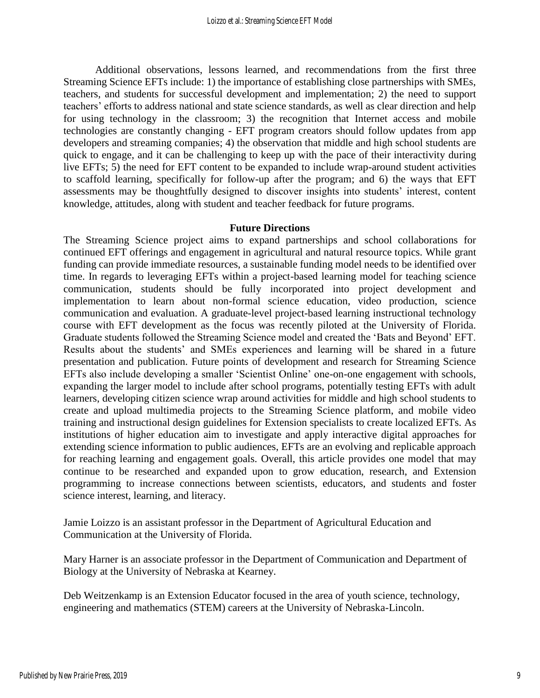Additional observations, lessons learned, and recommendations from the first three Streaming Science EFTs include: 1) the importance of establishing close partnerships with SMEs, teachers, and students for successful development and implementation; 2) the need to support teachers' efforts to address national and state science standards, as well as clear direction and help for using technology in the classroom; 3) the recognition that Internet access and mobile technologies are constantly changing - EFT program creators should follow updates from app developers and streaming companies; 4) the observation that middle and high school students are quick to engage, and it can be challenging to keep up with the pace of their interactivity during live EFTs; 5) the need for EFT content to be expanded to include wrap-around student activities to scaffold learning, specifically for follow-up after the program; and 6) the ways that EFT assessments may be thoughtfully designed to discover insights into students' interest, content knowledge, attitudes, along with student and teacher feedback for future programs.

#### **Future Directions**

The Streaming Science project aims to expand partnerships and school collaborations for continued EFT offerings and engagement in agricultural and natural resource topics. While grant funding can provide immediate resources, a sustainable funding model needs to be identified over time. In regards to leveraging EFTs within a project-based learning model for teaching science communication, students should be fully incorporated into project development and implementation to learn about non-formal science education, video production, science communication and evaluation. A graduate-level project-based learning instructional technology course with EFT development as the focus was recently piloted at the University of Florida. Graduate students followed the Streaming Science model and created the 'Bats and Beyond' EFT. Results about the students' and SMEs experiences and learning will be shared in a future presentation and publication. Future points of development and research for Streaming Science EFTs also include developing a smaller 'Scientist Online' one-on-one engagement with schools, expanding the larger model to include after school programs, potentially testing EFTs with adult learners, developing citizen science wrap around activities for middle and high school students to create and upload multimedia projects to the Streaming Science platform, and mobile video training and instructional design guidelines for Extension specialists to create localized EFTs. As institutions of higher education aim to investigate and apply interactive digital approaches for extending science information to public audiences, EFTs are an evolving and replicable approach for reaching learning and engagement goals. Overall, this article provides one model that may continue to be researched and expanded upon to grow education, research, and Extension programming to increase connections between scientists, educators, and students and foster science interest, learning, and literacy.

Jamie Loizzo is an assistant professor in the Department of Agricultural Education and Communication at the University of Florida.

Mary Harner is an associate professor in the Department of Communication and Department of Biology at the University of Nebraska at Kearney.

Deb Weitzenkamp is an Extension Educator focused in the area of youth science, technology, engineering and mathematics (STEM) careers at the University of Nebraska-Lincoln.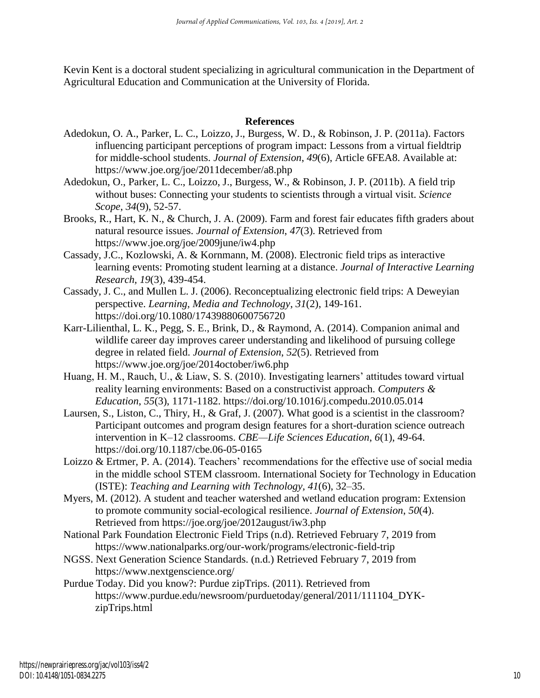Kevin Kent is a doctoral student specializing in agricultural communication in the Department of Agricultural Education and Communication at the University of Florida.

#### **References**

- Adedokun, O. A., Parker, L. C., Loizzo, J., Burgess, W. D., & Robinson, J. P. (2011a). Factors influencing participant perceptions of program impact: Lessons from a virtual fieldtrip for middle-school students. *Journal of Extension*, *49*(6), Article 6FEA8. Available at: https://www.joe.org/joe/2011december/a8.php
- Adedokun, O., Parker, L. C., Loizzo, J., Burgess, W., & Robinson, J. P. (2011b). A field trip without buses: Connecting your students to scientists through a virtual visit. *Science Scope*, *34*(9), 52-57.
- Brooks, R., Hart, K. N., & Church, J. A. (2009). Farm and forest fair educates fifth graders about natural resource issues. *Journal of Extension*, *47*(3). Retrieved from https://www.joe.org/joe/2009june/iw4.php
- Cassady, J.C., Kozlowski, A. & Kornmann, M. (2008). Electronic field trips as interactive learning events: Promoting student learning at a distance. *Journal of Interactive Learning Research, 19*(3), 439-454.
- Cassady, J. C., and Mullen L. J. (2006). Reconceptualizing electronic field trips: A Deweyian perspective. *Learning, Media and Technology*, *31*(2), 149-161. https://doi.org/10.1080/17439880600756720
- Karr-Lilienthal, L. K., Pegg, S. E., Brink, D., & Raymond, A. (2014). Companion animal and wildlife career day improves career understanding and likelihood of pursuing college degree in related field. *Journal of Extension*, *52*(5). Retrieved from https://www.joe.org/joe/2014october/iw6.php
- Huang, H. M., Rauch, U., & Liaw, S. S. (2010). Investigating learners' attitudes toward virtual reality learning environments: Based on a constructivist approach. *Computers & Education*, *55*(3), 1171-1182. https://doi.org/10.1016/j.compedu.2010.05.014
- Laursen, S., Liston, C., Thiry, H., & Graf, J. (2007). What good is a scientist in the classroom? Participant outcomes and program design features for a short-duration science outreach intervention in K–12 classrooms. *CBE—Life Sciences Education*, *6*(1), 49-64. https://doi.org/10.1187/cbe.06-05-0165
- Loizzo & Ertmer, P. A. (2014). Teachers' recommendations for the effective use of social media in the middle school STEM classroom. International Society for Technology in Education (ISTE): *Teaching and Learning with Technology, 41*(6), 32–35.
- Myers, M. (2012). A student and teacher watershed and wetland education program: Extension to promote community social-ecological resilience. *Journal of Extension*, *50*(4). Retrieved from https://joe.org/joe/2012august/iw3.php
- National Park Foundation Electronic Field Trips (n.d). Retrieved February 7, 2019 from https://www.nationalparks.org/our-work/programs/electronic-field-trip
- NGSS. Next Generation Science Standards. (n.d.) Retrieved February 7, 2019 from https://www.nextgenscience.org/
- Purdue Today. Did you know?: Purdue zipTrips. (2011). Retrieved from https://www.purdue.edu/newsroom/purduetoday/general/2011/111104\_DYKzipTrips.html